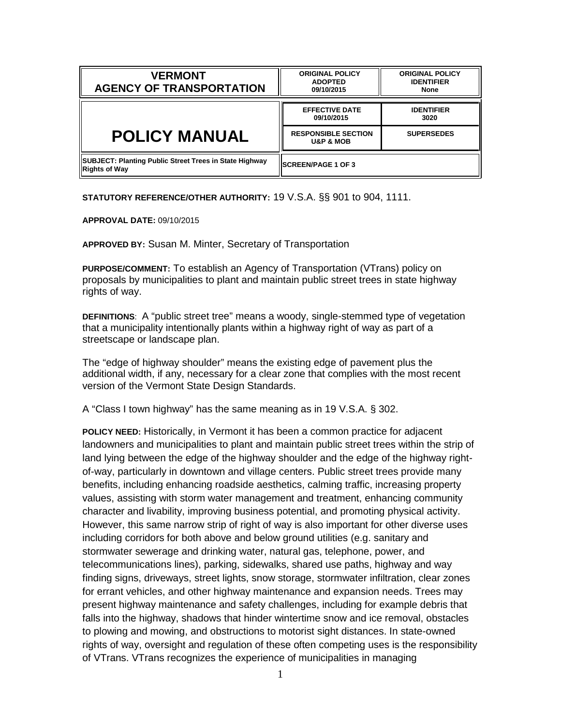| <b>VERMONT</b><br><b>AGENCY OF TRANSPORTATION</b>                       | <b>ORIGINAL POLICY</b><br><b>ADOPTED</b><br>09/10/2015 | <b>ORIGINAL POLICY</b><br><b>IDENTIFIER</b><br><b>None</b> |
|-------------------------------------------------------------------------|--------------------------------------------------------|------------------------------------------------------------|
|                                                                         | <b>EFFECTIVE DATE</b><br>09/10/2015                    | <b>IDENTIFIER</b><br>3020                                  |
| <b>POLICY MANUAL</b>                                                    | <b>RESPONSIBLE SECTION</b>                             | <b>SUPERSEDES</b>                                          |
|                                                                         | <b>U&amp;P &amp; MOB</b>                               |                                                            |
| SUBJECT: Planting Public Street Trees in State Highway<br>Rights of Way | <b>ISCREEN/PAGE 1 OF 3</b>                             |                                                            |

**STATUTORY REFERENCE/OTHER AUTHORITY:** 19 V.S.A. §§ 901 to 904, 1111.

**APPROVAL DATE:** 09/10/2015

**APPROVED BY:** Susan M. Minter, Secretary of Transportation

**PURPOSE/COMMENT:** To establish an Agency of Transportation (VTrans) policy on proposals by municipalities to plant and maintain public street trees in state highway rights of way.

**DEFINITIONS**: A "public street tree" means a woody, single-stemmed type of vegetation that a municipality intentionally plants within a highway right of way as part of a streetscape or landscape plan.

The "edge of highway shoulder" means the existing edge of pavement plus the additional width, if any, necessary for a clear zone that complies with the most recent version of the Vermont State Design Standards.

A "Class I town highway" has the same meaning as in 19 V.S.A. § 302.

**POLICY NEED:** Historically, in Vermont it has been a common practice for adjacent landowners and municipalities to plant and maintain public street trees within the strip of land lying between the edge of the highway shoulder and the edge of the highway rightof-way, particularly in downtown and village centers. Public street trees provide many benefits, including enhancing roadside aesthetics, calming traffic, increasing property values, assisting with storm water management and treatment, enhancing community character and livability, improving business potential, and promoting physical activity. However, this same narrow strip of right of way is also important for other diverse uses including corridors for both above and below ground utilities (e.g. sanitary and stormwater sewerage and drinking water, natural gas, telephone, power, and telecommunications lines), parking, sidewalks, shared use paths, highway and way finding signs, driveways, street lights, snow storage, stormwater infiltration, clear zones for errant vehicles, and other highway maintenance and expansion needs. Trees may present highway maintenance and safety challenges, including for example debris that falls into the highway, shadows that hinder wintertime snow and ice removal, obstacles to plowing and mowing, and obstructions to motorist sight distances. In state-owned rights of way, oversight and regulation of these often competing uses is the responsibility of VTrans. VTrans recognizes the experience of municipalities in managing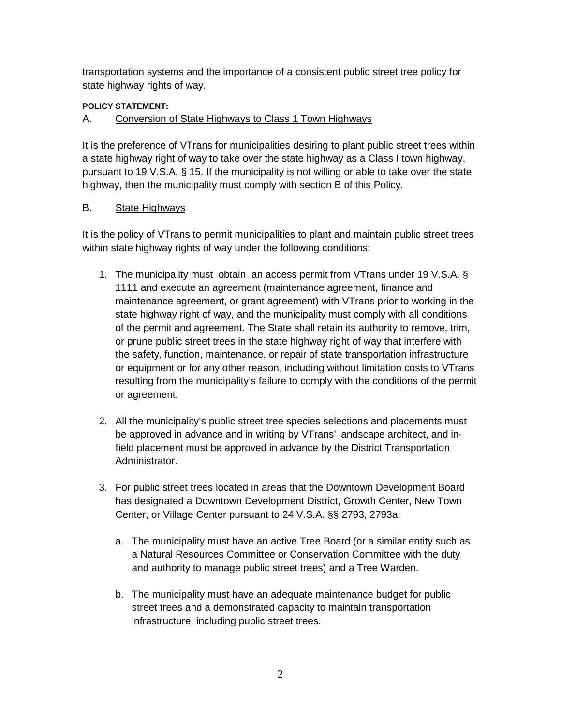transportation systems and the importance of a consistent public street tree policy for state highway rights of way.

## **POLICY STATEMENT:**

## A. Conversion of State Highways to Class 1 Town Highways

It is the preference of VTrans for municipalities desiring to plant public street trees within a state highway right of way to take over the state highway as a Class I town highway, pursuant to 19 V.S.A. § 15. If the municipality is not willing or able to take over the state highway, then the municipality must comply with section B of this Policy.

## B. State Highways

It is the policy of VTrans to permit municipalities to plant and maintain public street trees within state highway rights of way under the following conditions:

- 1. The municipality must obtain an access permit from VTrans under 19 V.S.A. § 1111 and execute an agreement (maintenance agreement, finance and maintenance agreement, or grant agreement) with VTrans prior to working in the state highway right of way, and the municipality must comply with all conditions of the permit and agreement. The State shall retain its authority to remove, trim, or prune public street trees in the state highway right of way that interfere with the safety, function, maintenance, or repair of state transportation infrastructure or equipment or for any other reason, including without limitation costs to VTrans resulting from the municipality's failure to comply with the conditions of the permit or agreement.
- 2. All the municipality's public street tree species selections and placements must be approved in advance and in writing by VTrans' landscape architect, and infield placement must be approved in advance by the District Transportation Administrator.
- 3. For public street trees located in areas that the Downtown Development Board has designated a Downtown Development District, Growth Center, New Town Center, or Village Center pursuant to 24 V.S.A. §§ 2793, 2793a:
	- a. The municipality must have an active Tree Board (or a similar entity such as a Natural Resources Committee or Conservation Committee with the duty and authority to manage public street trees) and a Tree Warden.
	- b. The municipality must have an adequate maintenance budget for public street trees and a demonstrated capacity to maintain transportation infrastructure, including public street trees.